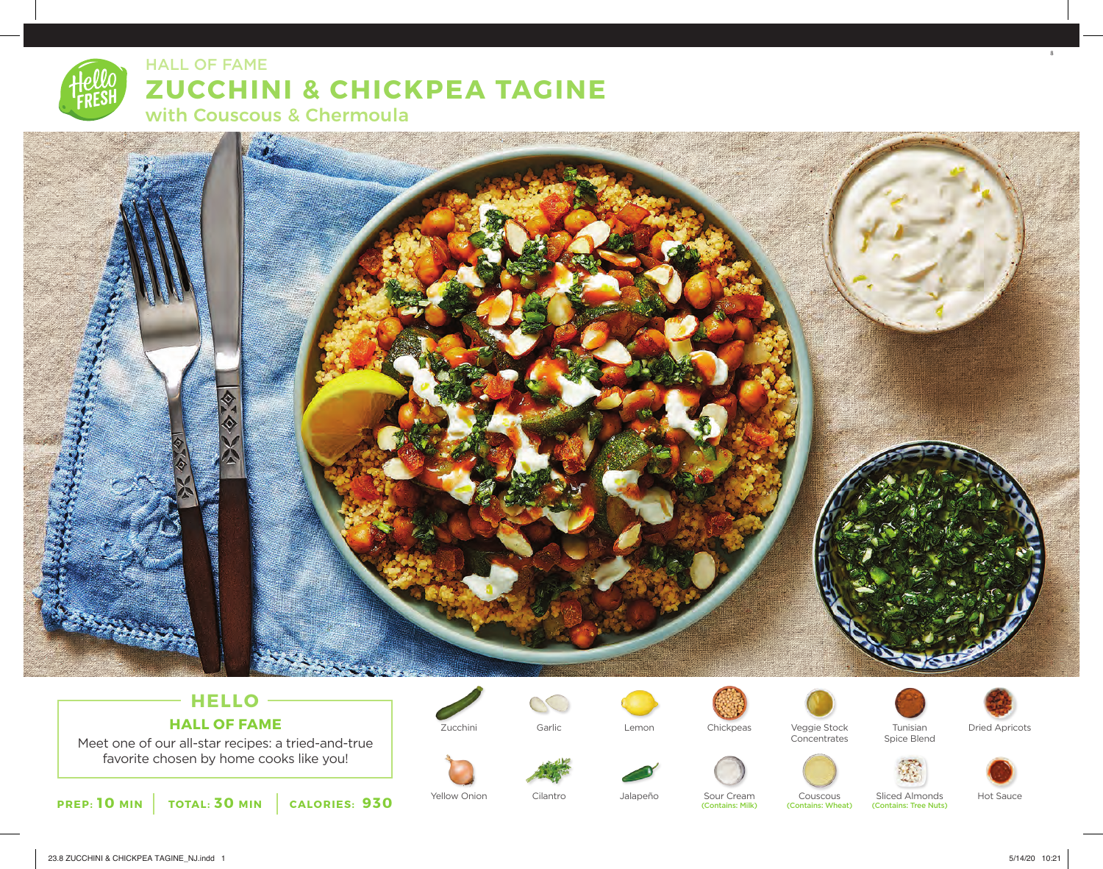# HALL OF FAME **ZUCCHINI & CHICKPEA TAGINE** with Couscous & Chermoula



### **HELLO HALL OF FAME**

Meet one of our all-star recipes: a tried-and-true favorite chosen by home cooks like you!





Zucchini Chickpeas Tunisian Lemon Veggie Stock









Spice Blend Garlic Dried Apricots







Yellow Onion Cilantro Jalapeño Sour Cream Couscous Sliced Almonds Hot Sauce<br>Contains: Milk) (Contains: Wheat) (Contains: Tree Nuts) (Contains: Tree Nuts)

23.8 ZUCCHINI & CHICKPEA TAGINE\_NJ.indd 1 5/14/20 10:21

8